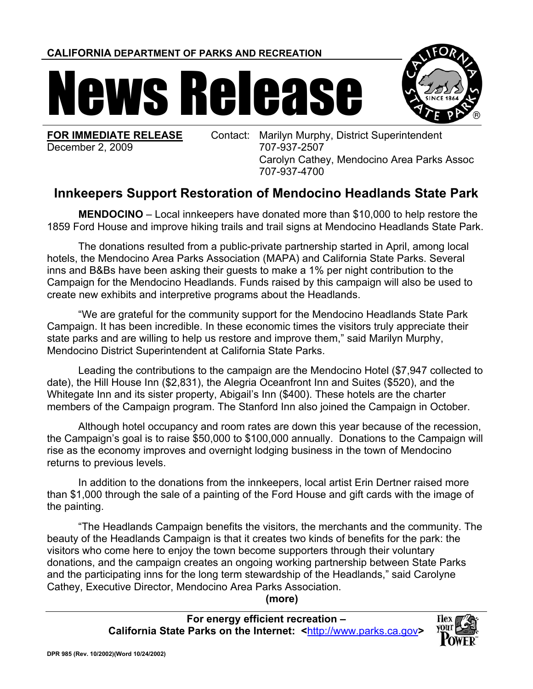**CALIFORNIA DEPARTMENT OF PARKS AND RECREATION**

## News Release



**FOR IMMEDIATE RELEASE**  December 2, 2009

Contact: Marilyn Murphy, District Superintendent 707-937-2507 Carolyn Cathey, Mendocino Area Parks Assoc 707-937-4700

## **Innkeepers Support Restoration of Mendocino Headlands State Park**

**MENDOCINO** – Local innkeepers have donated more than \$10,000 to help restore the 1859 Ford House and improve hiking trails and trail signs at Mendocino Headlands State Park.

The donations resulted from a public-private partnership started in April, among local hotels, the Mendocino Area Parks Association (MAPA) and California State Parks. Several inns and B&Bs have been asking their guests to make a 1% per night contribution to the Campaign for the Mendocino Headlands. Funds raised by this campaign will also be used to create new exhibits and interpretive programs about the Headlands.

"We are grateful for the community support for the Mendocino Headlands State Park Campaign. It has been incredible. In these economic times the visitors truly appreciate their state parks and are willing to help us restore and improve them," said Marilyn Murphy, Mendocino District Superintendent at California State Parks.

Leading the contributions to the campaign are the Mendocino Hotel (\$7,947 collected to date), the Hill House Inn (\$2,831), the Alegria Oceanfront Inn and Suites (\$520), and the Whitegate Inn and its sister property, Abigail's Inn (\$400). These hotels are the charter members of the Campaign program. The Stanford Inn also joined the Campaign in October.

Although hotel occupancy and room rates are down this year because of the recession, the Campaign's goal is to raise \$50,000 to \$100,000 annually. Donations to the Campaign will rise as the economy improves and overnight lodging business in the town of Mendocino returns to previous levels.

In addition to the donations from the innkeepers, local artist Erin Dertner raised more than \$1,000 through the sale of a painting of the Ford House and gift cards with the image of the painting.

"The Headlands Campaign benefits the visitors, the merchants and the community. The beauty of the Headlands Campaign is that it creates two kinds of benefits for the park: the visitors who come here to enjoy the town become supporters through their voluntary donations, and the campaign creates an ongoing working partnership between State Parks and the participating inns for the long term stewardship of the Headlands," said Carolyne Cathey, Executive Director, Mendocino Area Parks Association.

**(more)** 

**For energy efficient recreation – California State Parks on the Internet: <**http://www.parks.ca.gov**>**